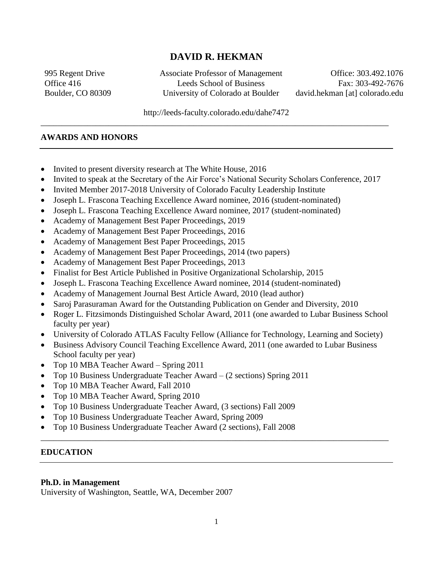# **DAVID R. HEKMAN**

995 Regent Drive Associate Professor of Management Office: 303.492.1076 Office 416 Leeds School of Business Fax: 303-492-7676 Boulder, CO 80309 University of Colorado at Boulder david.hekman [at] colorado.edu

http://leeds-faculty.colorado.edu/dahe7472 \_\_\_\_\_\_\_\_\_\_\_\_\_\_\_\_\_\_\_\_\_\_\_\_\_\_\_\_\_\_\_\_\_\_\_\_\_\_\_\_\_\_\_\_\_\_\_\_\_\_\_\_\_\_\_\_\_\_\_\_\_\_\_\_\_\_\_\_\_\_\_\_\_\_\_\_\_\_\_\_\_\_

#### **AWARDS AND HONORS**

- Invited to present diversity research at The White House, 2016
- Invited to speak at the Secretary of the Air Force's National Security Scholars Conference, 2017
- Invited Member 2017-2018 University of Colorado Faculty Leadership Institute
- Joseph L. Frascona Teaching Excellence Award nominee, 2016 (student-nominated)
- Joseph L. Frascona Teaching Excellence Award nominee, 2017 (student-nominated)
- Academy of Management Best Paper Proceedings, 2019
- Academy of Management Best Paper Proceedings, 2016
- Academy of Management Best Paper Proceedings, 2015
- Academy of Management Best Paper Proceedings, 2014 (two papers)
- Academy of Management Best Paper Proceedings, 2013
- Finalist for Best Article Published in Positive Organizational Scholarship, 2015
- Joseph L. Frascona Teaching Excellence Award nominee, 2014 (student-nominated)
- Academy of Management Journal Best Article Award, 2010 (lead author)
- Saroj Parasuraman Award for the Outstanding Publication on Gender and Diversity, 2010
- Roger L. Fitzsimonds Distinguished Scholar Award, 2011 (one awarded to Lubar Business School faculty per year)
- University of Colorado ATLAS Faculty Fellow (Alliance for Technology, Learning and Society)
- Business Advisory Council Teaching Excellence Award, 2011 (one awarded to Lubar Business School faculty per year)
- Top 10 MBA Teacher Award Spring 2011
- Top 10 Business Undergraduate Teacher Award (2 sections) Spring 2011
- Top 10 MBA Teacher Award, Fall 2010
- Top 10 MBA Teacher Award, Spring 2010
- Top 10 Business Undergraduate Teacher Award, (3 sections) Fall 2009
- Top 10 Business Undergraduate Teacher Award, Spring 2009
- Top 10 Business Undergraduate Teacher Award (2 sections), Fall 2008

## **EDUCATION**

#### **Ph.D. in Management**

University of Washington, Seattle, WA, December 2007

\_\_\_\_\_\_\_\_\_\_\_\_\_\_\_\_\_\_\_\_\_\_\_\_\_\_\_\_\_\_\_\_\_\_\_\_\_\_\_\_\_\_\_\_\_\_\_\_\_\_\_\_\_\_\_\_\_\_\_\_\_\_\_\_\_\_\_\_\_\_\_\_\_\_\_\_\_\_\_\_\_\_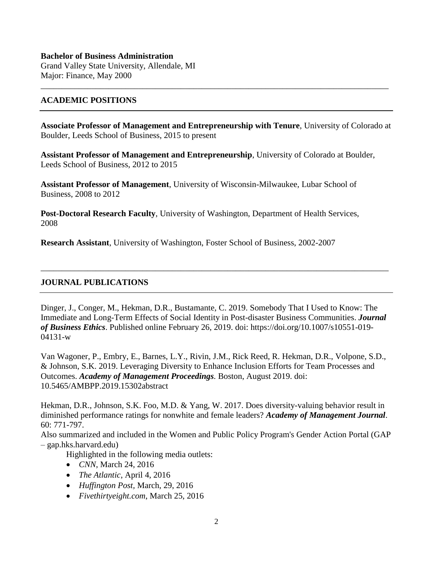## **Bachelor of Business Administration**  Grand Valley State University, Allendale, MI Major: Finance, May 2000

## **ACADEMIC POSITIONS**

**Associate Professor of Management and Entrepreneurship with Tenure**, University of Colorado at Boulder, Leeds School of Business, 2015 to present

\_\_\_\_\_\_\_\_\_\_\_\_\_\_\_\_\_\_\_\_\_\_\_\_\_\_\_\_\_\_\_\_\_\_\_\_\_\_\_\_\_\_\_\_\_\_\_\_\_\_\_\_\_\_\_\_\_\_\_\_\_\_\_\_\_\_\_\_\_\_\_\_\_\_\_\_\_\_\_\_\_\_

**Assistant Professor of Management and Entrepreneurship**, University of Colorado at Boulder, Leeds School of Business, 2012 to 2015

**Assistant Professor of Management**, University of Wisconsin-Milwaukee, Lubar School of Business, 2008 to 2012

**Post-Doctoral Research Faculty**, University of Washington, Department of Health Services, 2008

**Research Assistant**, University of Washington, Foster School of Business, 2002-2007

# **JOURNAL PUBLICATIONS**

Dinger, J., Conger, M., Hekman, D.R., Bustamante, C. 2019. Somebody That I Used to Know: The Immediate and Long-Term Effects of Social Identity in Post-disaster Business Communities. *Journal of Business Ethics*. Published online February 26, 2019. doi: https://doi.org/10.1007/s10551-019- 04131-w

\_\_\_\_\_\_\_\_\_\_\_\_\_\_\_\_\_\_\_\_\_\_\_\_\_\_\_\_\_\_\_\_\_\_\_\_\_\_\_\_\_\_\_\_\_\_\_\_\_\_\_\_\_\_\_\_\_\_\_\_\_\_\_\_\_\_\_\_\_\_\_\_\_\_\_\_\_\_\_\_\_\_

Van Wagoner, P., Embry, E., Barnes, L.Y., Rivin, J.M., Rick Reed, R. Hekman, D.R., Volpone, S.D., & Johnson, S.K. 2019. Leveraging Diversity to Enhance Inclusion Efforts for Team Processes and Outcomes. *Academy of Management Proceedings.* Boston, August 2019. doi: 10.5465/AMBPP.2019.15302abstract

Hekman, D.R., Johnson, S.K. Foo, M.D. & Yang, W. 2017. Does diversity-valuing behavior result in diminished performance ratings for nonwhite and female leaders? *Academy of Management Journal*. 60: 771-797.

Also summarized and included in the Women and Public Policy Program's Gender Action Portal (GAP – gap.hks.harvard.edu)

Highlighted in the following media outlets:

- *CNN*, March 24, 2016
- *The Atlantic*, April 4, 2016
- *Huffington Post,* March, 29, 2016
- *Fivethirtyeight.com*, March 25, 2016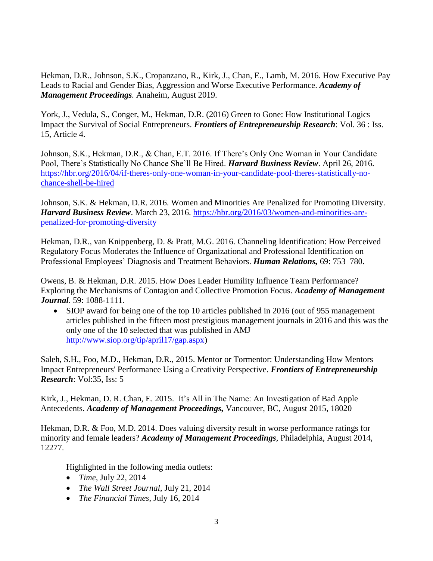Hekman, D.R., Johnson, S.K., Cropanzano, R., Kirk, J., Chan, E., Lamb, M. 2016. How Executive Pay Leads to Racial and Gender Bias, Aggression and Worse Executive Performance. *Academy of Management Proceedings.* Anaheim, August 2019.

York, J., Vedula, S., Conger, M., Hekman, D.R. (2016) Green to Gone: How Institutional Logics Impact the Survival of Social Entrepreneurs. *Frontiers of Entrepreneurship Research*: Vol. 36 : Iss. 15, Article 4.

Johnson, S.K., Hekman, D.R., & Chan, E.T. 2016. If There's Only One Woman in Your Candidate Pool, There's Statistically No Chance She'll Be Hired. *Harvard Business Review*. April 26, 2016. [https://hbr.org/2016/04/if-theres-only-one-woman-in-your-candidate-pool-theres-statistically-no](https://hbr.org/2016/04/if-theres-only-one-woman-in-your-candidate-pool-theres-statistically-no-chance-shell-be-hired)[chance-shell-be-hired](https://hbr.org/2016/04/if-theres-only-one-woman-in-your-candidate-pool-theres-statistically-no-chance-shell-be-hired)

Johnson, S.K. & Hekman, D.R. 2016. Women and Minorities Are Penalized for Promoting Diversity. *Harvard Business Review*. March 23, 2016. [https://hbr.org/2016/03/women-and-minorities-are](https://hbr.org/2016/03/women-and-minorities-are-penalized-for-promoting-diversity)[penalized-for-promoting-diversity](https://hbr.org/2016/03/women-and-minorities-are-penalized-for-promoting-diversity)

Hekman, D.R., van Knippenberg, D. & Pratt, M.G. 2016. Channeling Identification: How Perceived Regulatory Focus Moderates the Influence of Organizational and Professional Identification on Professional Employees' Diagnosis and Treatment Behaviors. *Human Relations,* 69: 753–780.

Owens, B. & Hekman, D.R. 2015. How Does Leader Humility Influence Team Performance? Exploring the Mechanisms of Contagion and Collective Promotion Focus. *Academy of Management Journal*. 59: 1088-1111.

 SIOP award for being one of the top 10 articles published in 2016 (out of 955 management articles published in the fifteen most prestigious management journals in 2016 and this was the only one of the 10 selected that was published in AMJ [http://www.siop.org/tip/april17/gap.aspx\)](http://www.siop.org/tip/april17/gap.aspx)

Saleh, S.H., Foo, M.D., Hekman, D.R., 2015. Mentor or Tormentor: Understanding How Mentors Impact Entrepreneurs' Performance Using a Creativity Perspective. *Frontiers of Entrepreneurship Research*: Vol:35, Iss: 5

Kirk, J., Hekman, D. R. Chan, E. 2015. It's All in The Name: An Investigation of Bad Apple Antecedents. *Academy of Management Proceedings,* Vancouver, BC, August 2015, 18020

Hekman, D.R. & Foo, M.D. 2014. Does valuing diversity result in worse performance ratings for minority and female leaders? *Academy of Management Proceedings,* Philadelphia, August 2014, 12277.

Highlighted in the following media outlets:

- *Time*, July 22, 2014
- *The Wall Street Journal*, July 21, 2014
- *The Financial Times*, July 16, 2014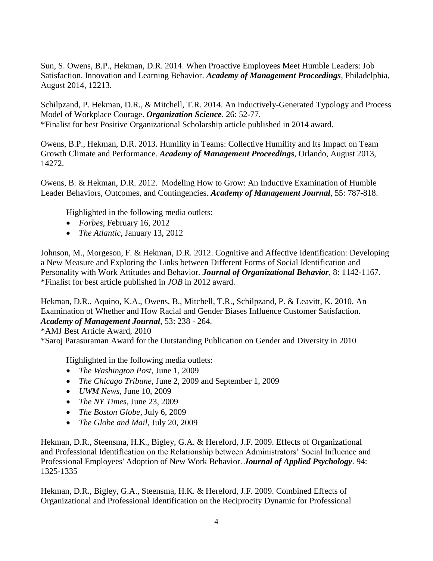Sun, S. Owens, B.P., Hekman, D.R. 2014. When Proactive Employees Meet Humble Leaders: Job Satisfaction, Innovation and Learning Behavior. *Academy of Management Proceedings,* Philadelphia, August 2014, 12213.

Schilpzand, P. Hekman, D.R., & Mitchell, T.R. 2014. An Inductively-Generated Typology and Process Model of Workplace Courage. *Organization Science*. 26: 52-77. \*Finalist for best Positive Organizational Scholarship article published in 2014 award.

Owens, B.P., Hekman, D.R. 2013. Humility in Teams: Collective Humility and Its Impact on Team Growth Climate and Performance. *Academy of Management Proceedings,* Orlando, August 2013, 14272.

Owens, B. & Hekman, D.R. 2012. Modeling How to Grow: An Inductive Examination of Humble Leader Behaviors, Outcomes, and Contingencies. *Academy of Management Journal*, 55: 787-818.

Highlighted in the following media outlets:

- *Forbes*, February 16, 2012
- *The Atlantic*, January 13, 2012

Johnson, M., Morgeson, F. & Hekman, D.R. 2012. Cognitive and Affective Identification: Developing a New Measure and Exploring the Links between Different Forms of Social Identification and Personality with Work Attitudes and Behavior*. Journal of Organizational Behavior*, 8: 1142-1167. \*Finalist for best article published in *JOB* in 2012 award.

Hekman, D.R., Aquino, K.A., Owens, B., Mitchell, T.R., Schilpzand, P. & Leavitt, K. 2010. An Examination of Whether and How Racial and Gender Biases Influence Customer Satisfaction. *Academy of Management Journal*, 53: 238 - 264.

\*AMJ Best Article Award, 2010

\*Saroj Parasuraman Award for the Outstanding Publication on Gender and Diversity in 2010

Highlighted in the following media outlets:

- *The Washington Post*, June 1, 2009
- *The Chicago Tribune*, June 2, 2009 and September 1, 2009
- *UWM News*, June 10, 2009
- *The NY Times*, June 23, 2009
- *The Boston Globe*, July 6, 2009
- *The Globe and Mail*, July 20, 2009

Hekman, D.R., Steensma, H.K., Bigley, G.A. & Hereford, J.F. 2009. Effects of Organizational and Professional Identification on the Relationship between Administrators' Social Influence and Professional Employees' Adoption of New Work Behavior. *Journal of Applied Psychology*. 94: 1325-1335

Hekman, D.R., Bigley, G.A., Steensma, H.K. & Hereford, J.F. 2009. Combined Effects of Organizational and Professional Identification on the Reciprocity Dynamic for Professional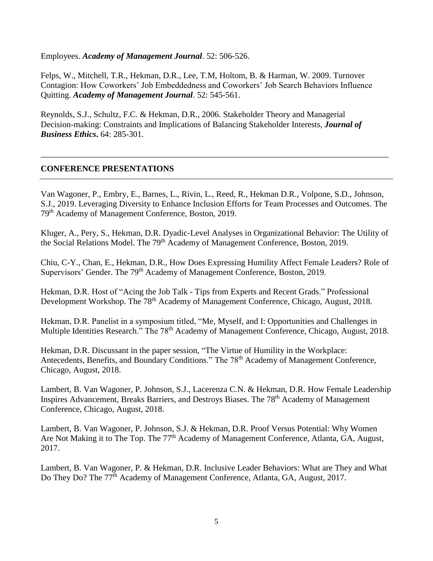Employees. *Academy of Management Journal*. 52: 506-526.

Felps, W., Mitchell, T.R., Hekman, D.R., Lee, T.M, Holtom, B. & Harman, W. 2009. Turnover Contagion: How Coworkers' Job Embeddedness and Coworkers' Job Search Behaviors Influence Quitting. *Academy of Management Journal*. 52: 545-561.

Reynolds, S.J., Schultz, F.C. & Hekman, D.R., 2006. Stakeholder Theory and Managerial Decision-making: Constraints and Implications of Balancing Stakeholder Interests, *Journal of Business Ethics***.** 64: 285-301.

## **CONFERENCE PRESENTATIONS**

Van Wagoner, P., Embry, E., Barnes, L., Rivin, L., Reed, R., Hekman D.R., Volpone, S.D., Johnson, S.J., 2019. Leveraging Diversity to Enhance Inclusion Efforts for Team Processes and Outcomes. The 79th Academy of Management Conference, Boston, 2019.

\_\_\_\_\_\_\_\_\_\_\_\_\_\_\_\_\_\_\_\_\_\_\_\_\_\_\_\_\_\_\_\_\_\_\_\_\_\_\_\_\_\_\_\_\_\_\_\_\_\_\_\_\_\_\_\_\_\_\_\_\_\_\_\_\_\_\_\_\_\_\_\_\_\_\_\_\_\_\_\_\_\_

Kluger, A., Pery, S., Hekman, D.R. Dyadic-Level Analyses in Organizational Behavior: The Utility of the Social Relations Model. The 79<sup>th</sup> Academy of Management Conference, Boston, 2019.

Chiu, C-Y., Chan, E., Hekman, D.R., How Does Expressing Humility Affect Female Leaders? Role of Supervisors' Gender. The 79<sup>th</sup> Academy of Management Conference, Boston, 2019.

Hekman, D.R. Host of "Acing the Job Talk - Tips from Experts and Recent Grads." Professional Development Workshop. The 78<sup>th</sup> Academy of Management Conference, Chicago, August, 2018.

Hekman, D.R. Panelist in a symposium titled, "Me, Myself, and I: Opportunities and Challenges in Multiple Identities Research." The 78<sup>th</sup> Academy of Management Conference, Chicago, August, 2018.

Hekman, D.R. Discussant in the paper session, "The Virtue of Humility in the Workplace: Antecedents, Benefits, and Boundary Conditions." The 78<sup>th</sup> Academy of Management Conference, Chicago, August, 2018.

Lambert, B. Van Wagoner, P. Johnson, S.J., Lacerenza C.N. & Hekman, D.R. How Female Leadership Inspires Advancement, Breaks Barriers, and Destroys Biases. The 78<sup>th</sup> Academy of Management Conference, Chicago, August, 2018.

Lambert, B. Van Wagoner, P. Johnson, S.J. & Hekman, D.R. Proof Versus Potential: Why Women Are Not Making it to The Top. The 77<sup>th</sup> Academy of Management Conference, Atlanta, GA, August, 2017.

Lambert, B. Van Wagoner, P. & Hekman, D.R. Inclusive Leader Behaviors: What are They and What Do They Do? The 77<sup>th</sup> Academy of Management Conference, Atlanta, GA, August, 2017.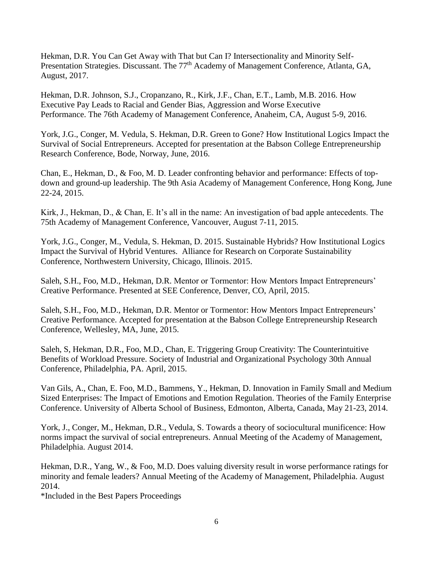Hekman, D.R. You Can Get Away with That but Can I? Intersectionality and Minority Self-Presentation Strategies. Discussant. The 77<sup>th</sup> Academy of Management Conference, Atlanta, GA, August, 2017.

Hekman, D.R. Johnson, S.J., Cropanzano, R., Kirk, J.F., Chan, E.T., Lamb, M.B. 2016. How Executive Pay Leads to Racial and Gender Bias, Aggression and Worse Executive Performance. The 76th Academy of Management Conference, Anaheim, CA, August 5-9, 2016.

York, J.G., Conger, M. Vedula, S. Hekman, D.R. Green to Gone? How Institutional Logics Impact the Survival of Social Entrepreneurs. Accepted for presentation at the Babson College Entrepreneurship Research Conference, Bode, Norway, June, 2016.

Chan, E., Hekman, D., & Foo, M. D. Leader confronting behavior and performance: Effects of topdown and ground-up leadership. The 9th Asia Academy of Management Conference, Hong Kong, June 22-24, 2015.

Kirk, J., Hekman, D., & Chan, E. It's all in the name: An investigation of bad apple antecedents. The 75th Academy of Management Conference, Vancouver, August 7-11, 2015.

York, J.G., Conger, M., Vedula, S. Hekman, D. 2015. Sustainable Hybrids? How Institutional Logics Impact the Survival of Hybrid Ventures. Alliance for Research on Corporate Sustainability Conference, Northwestern University, Chicago, Illinois. 2015.

Saleh, S.H., Foo, M.D., Hekman, D.R. Mentor or Tormentor: How Mentors Impact Entrepreneurs' Creative Performance. Presented at SEE Conference, Denver, CO, April, 2015.

Saleh, S.H., Foo, M.D., Hekman, D.R. Mentor or Tormentor: How Mentors Impact Entrepreneurs' Creative Performance. Accepted for presentation at the Babson College Entrepreneurship Research Conference, Wellesley, MA, June, 2015.

Saleh, S, Hekman, D.R., Foo, M.D., Chan, E. Triggering Group Creativity: The Counterintuitive Benefits of Workload Pressure. Society of Industrial and Organizational Psychology 30th Annual Conference, Philadelphia, PA. April, 2015.

Van Gils, A., Chan, E. Foo, M.D., Bammens, Y., Hekman, D. Innovation in Family Small and Medium Sized Enterprises: The Impact of Emotions and Emotion Regulation. Theories of the Family Enterprise Conference. University of Alberta School of Business, Edmonton, Alberta, Canada, May 21-23, 2014.

York, J., Conger, M., Hekman, D.R., Vedula, S. Towards a theory of sociocultural munificence: How norms impact the survival of social entrepreneurs. Annual Meeting of the Academy of Management, Philadelphia. August 2014.

Hekman, D.R., Yang, W., & Foo, M.D. Does valuing diversity result in worse performance ratings for minority and female leaders? Annual Meeting of the Academy of Management, Philadelphia. August 2014.

\*Included in the Best Papers Proceedings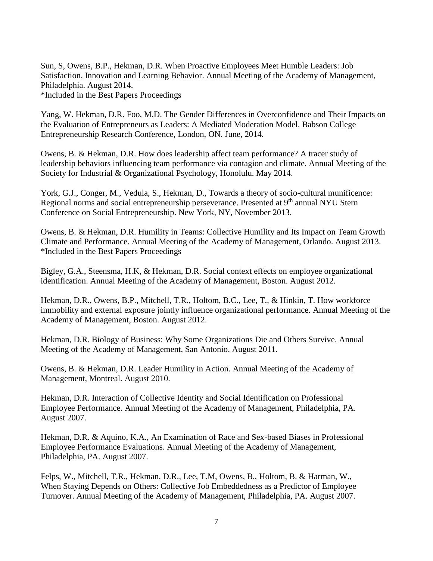Sun, S, Owens, B.P., Hekman, D.R. When Proactive Employees Meet Humble Leaders: Job Satisfaction, Innovation and Learning Behavior. Annual Meeting of the Academy of Management, Philadelphia. August 2014. \*Included in the Best Papers Proceedings

Yang, W. Hekman, D.R. Foo, M.D. The Gender Differences in Overconfidence and Their Impacts on the Evaluation of Entrepreneurs as Leaders: A Mediated Moderation Model. Babson College Entrepreneurship Research Conference, London, ON. June, 2014.

Owens, B. & Hekman, D.R. How does leadership affect team performance? A tracer study of leadership behaviors influencing team performance via contagion and climate. Annual Meeting of the Society for Industrial & Organizational Psychology, Honolulu. May 2014.

York, G.J., Conger, M., Vedula, S., Hekman, D., Towards a theory of socio-cultural munificence: Regional norms and social entrepreneurship perseverance. Presented at 9<sup>th</sup> annual NYU Stern Conference on Social Entrepreneurship. New York, NY, November 2013.

Owens, B. & Hekman, D.R. Humility in Teams: Collective Humility and Its Impact on Team Growth Climate and Performance. Annual Meeting of the Academy of Management, Orlando. August 2013. \*Included in the Best Papers Proceedings

Bigley, G.A., Steensma, H.K, & Hekman, D.R. Social context effects on employee organizational identification. Annual Meeting of the Academy of Management, Boston. August 2012.

Hekman, D.R., Owens, B.P., Mitchell, T.R., Holtom, B.C., Lee, T., & Hinkin, T. How workforce immobility and external exposure jointly influence organizational performance. Annual Meeting of the Academy of Management, Boston. August 2012.

Hekman, D.R. Biology of Business: Why Some Organizations Die and Others Survive. Annual Meeting of the Academy of Management, San Antonio. August 2011.

Owens, B. & Hekman, D.R. Leader Humility in Action. Annual Meeting of the Academy of Management, Montreal. August 2010.

Hekman, D.R. Interaction of Collective Identity and Social Identification on Professional Employee Performance. Annual Meeting of the Academy of Management, Philadelphia, PA. August 2007.

Hekman, D.R. & Aquino, K.A., An Examination of Race and Sex-based Biases in Professional Employee Performance Evaluations. Annual Meeting of the Academy of Management, Philadelphia, PA. August 2007.

Felps, W., Mitchell, T.R., Hekman, D.R., Lee, T.M, Owens, B., Holtom, B. & Harman, W., When Staying Depends on Others: Collective Job Embeddedness as a Predictor of Employee Turnover. Annual Meeting of the Academy of Management, Philadelphia, PA. August 2007.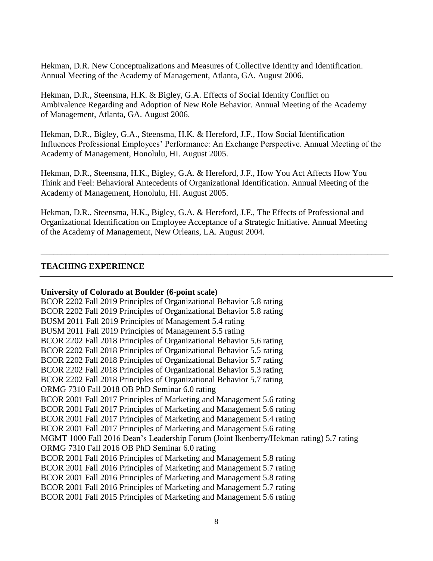Hekman, D.R. New Conceptualizations and Measures of Collective Identity and Identification. Annual Meeting of the Academy of Management, Atlanta, GA. August 2006.

Hekman, D.R., Steensma, H.K. & Bigley, G.A. Effects of Social Identity Conflict on Ambivalence Regarding and Adoption of New Role Behavior. Annual Meeting of the Academy of Management, Atlanta, GA. August 2006.

Hekman, D.R., Bigley, G.A., Steensma, H.K. & Hereford, J.F., How Social Identification Influences Professional Employees' Performance: An Exchange Perspective. Annual Meeting of the Academy of Management, Honolulu, HI. August 2005.

Hekman, D.R., Steensma, H.K., Bigley, G.A. & Hereford, J.F., How You Act Affects How You Think and Feel: Behavioral Antecedents of Organizational Identification. Annual Meeting of the Academy of Management, Honolulu, HI. August 2005.

Hekman, D.R., Steensma, H.K., Bigley, G.A. & Hereford, J.F., The Effects of Professional and Organizational Identification on Employee Acceptance of a Strategic Initiative. Annual Meeting of the Academy of Management, New Orleans, LA. August 2004.

\_\_\_\_\_\_\_\_\_\_\_\_\_\_\_\_\_\_\_\_\_\_\_\_\_\_\_\_\_\_\_\_\_\_\_\_\_\_\_\_\_\_\_\_\_\_\_\_\_\_\_\_\_\_\_\_\_\_\_\_\_\_\_\_\_\_\_\_\_\_\_\_\_\_\_\_\_\_\_\_\_\_

# **TEACHING EXPERIENCE**

## **University of Colorado at Boulder (6-point scale)**

BCOR 2202 Fall 2019 Principles of Organizational Behavior 5.8 rating BCOR 2202 Fall 2019 Principles of Organizational Behavior 5.8 rating BUSM 2011 Fall 2019 Principles of Management 5.4 rating BUSM 2011 Fall 2019 Principles of Management 5.5 rating BCOR 2202 Fall 2018 Principles of Organizational Behavior 5.6 rating BCOR 2202 Fall 2018 Principles of Organizational Behavior 5.5 rating BCOR 2202 Fall 2018 Principles of Organizational Behavior 5.7 rating BCOR 2202 Fall 2018 Principles of Organizational Behavior 5.3 rating BCOR 2202 Fall 2018 Principles of Organizational Behavior 5.7 rating ORMG 7310 Fall 2018 OB PhD Seminar 6.0 rating BCOR 2001 Fall 2017 Principles of Marketing and Management 5.6 rating BCOR 2001 Fall 2017 Principles of Marketing and Management 5.6 rating BCOR 2001 Fall 2017 Principles of Marketing and Management 5.4 rating BCOR 2001 Fall 2017 Principles of Marketing and Management 5.6 rating MGMT 1000 Fall 2016 Dean's Leadership Forum (Joint Ikenberry/Hekman rating) 5.7 rating ORMG 7310 Fall 2016 OB PhD Seminar 6.0 rating BCOR 2001 Fall 2016 Principles of Marketing and Management 5.8 rating BCOR 2001 Fall 2016 Principles of Marketing and Management 5.7 rating BCOR 2001 Fall 2016 Principles of Marketing and Management 5.8 rating BCOR 2001 Fall 2016 Principles of Marketing and Management 5.7 rating BCOR 2001 Fall 2015 Principles of Marketing and Management 5.6 rating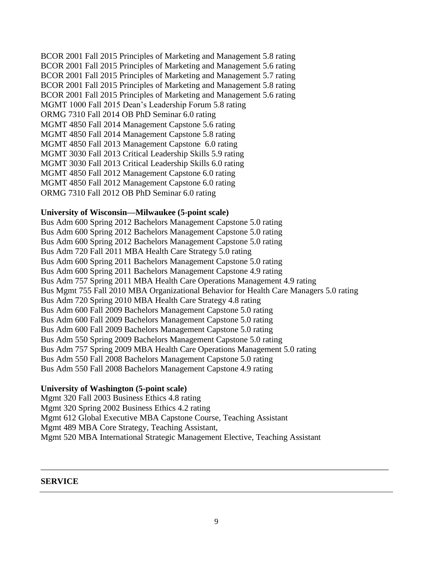BCOR 2001 Fall 2015 Principles of Marketing and Management 5.8 rating BCOR 2001 Fall 2015 Principles of Marketing and Management 5.6 rating BCOR 2001 Fall 2015 Principles of Marketing and Management 5.7 rating BCOR 2001 Fall 2015 Principles of Marketing and Management 5.8 rating BCOR 2001 Fall 2015 Principles of Marketing and Management 5.6 rating MGMT 1000 Fall 2015 Dean's Leadership Forum 5.8 rating ORMG 7310 Fall 2014 OB PhD Seminar 6.0 rating MGMT 4850 Fall 2014 Management Capstone 5.6 rating MGMT 4850 Fall 2014 Management Capstone 5.8 rating MGMT 4850 Fall 2013 Management Capstone 6.0 rating MGMT 3030 Fall 2013 Critical Leadership Skills 5.9 rating MGMT 3030 Fall 2013 Critical Leadership Skills 6.0 rating MGMT 4850 Fall 2012 Management Capstone 6.0 rating MGMT 4850 Fall 2012 Management Capstone 6.0 rating ORMG 7310 Fall 2012 OB PhD Seminar 6.0 rating

#### **University of Wisconsin—Milwaukee (5-point scale)**

Bus Adm 600 Spring 2012 Bachelors Management Capstone 5.0 rating Bus Adm 600 Spring 2012 Bachelors Management Capstone 5.0 rating Bus Adm 600 Spring 2012 Bachelors Management Capstone 5.0 rating Bus Adm 720 Fall 2011 MBA Health Care Strategy 5.0 rating Bus Adm 600 Spring 2011 Bachelors Management Capstone 5.0 rating Bus Adm 600 Spring 2011 Bachelors Management Capstone 4.9 rating Bus Adm 757 Spring 2011 MBA Health Care Operations Management 4.9 rating Bus Mgmt 755 Fall 2010 MBA Organizational Behavior for Health Care Managers 5.0 rating Bus Adm 720 Spring 2010 MBA Health Care Strategy 4.8 rating Bus Adm 600 Fall 2009 Bachelors Management Capstone 5.0 rating Bus Adm 600 Fall 2009 Bachelors Management Capstone 5.0 rating Bus Adm 600 Fall 2009 Bachelors Management Capstone 5.0 rating Bus Adm 550 Spring 2009 Bachelors Management Capstone 5.0 rating Bus Adm 757 Spring 2009 MBA Health Care Operations Management 5.0 rating Bus Adm 550 Fall 2008 Bachelors Management Capstone 5.0 rating Bus Adm 550 Fall 2008 Bachelors Management Capstone 4.9 rating

#### **University of Washington (5-point scale)**

Mgmt 320 Fall 2003 Business Ethics 4.8 rating Mgmt 320 Spring 2002 Business Ethics 4.2 rating Mgmt 612 Global Executive MBA Capstone Course, Teaching Assistant Mgmt 489 MBA Core Strategy, Teaching Assistant, Mgmt 520 MBA International Strategic Management Elective, Teaching Assistant

#### **SERVICE**

\_\_\_\_\_\_\_\_\_\_\_\_\_\_\_\_\_\_\_\_\_\_\_\_\_\_\_\_\_\_\_\_\_\_\_\_\_\_\_\_\_\_\_\_\_\_\_\_\_\_\_\_\_\_\_\_\_\_\_\_\_\_\_\_\_\_\_\_\_\_\_\_\_\_\_\_\_\_\_\_\_\_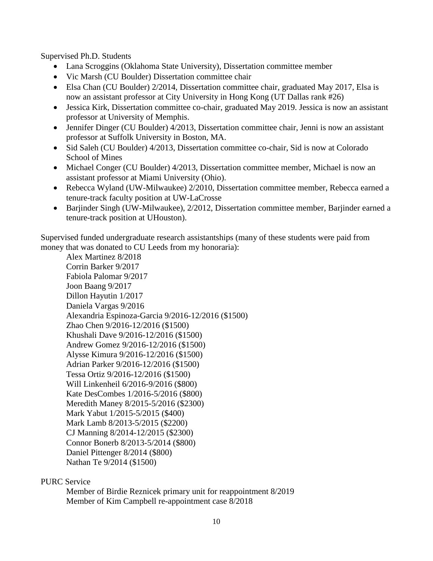Supervised Ph.D. Students

- Lana Scroggins (Oklahoma State University), Dissertation committee member
- Vic Marsh (CU Boulder) Dissertation committee chair
- Elsa Chan (CU Boulder) 2/2014, Dissertation committee chair, graduated May 2017, Elsa is now an assistant professor at City University in Hong Kong (UT Dallas rank #26)
- Jessica Kirk, Dissertation committee co-chair, graduated May 2019. Jessica is now an assistant professor at University of Memphis.
- Jennifer Dinger (CU Boulder) 4/2013, Dissertation committee chair, Jenni is now an assistant professor at Suffolk University in Boston, MA.
- Sid Saleh (CU Boulder) 4/2013, Dissertation committee co-chair, Sid is now at Colorado School of Mines
- Michael Conger (CU Boulder) 4/2013, Dissertation committee member, Michael is now an assistant professor at Miami University (Ohio).
- Rebecca Wyland (UW-Milwaukee) 2/2010, Dissertation committee member, Rebecca earned a tenure-track faculty position at UW-LaCrosse
- Barjinder Singh (UW-Milwaukee), 2/2012, Dissertation committee member, Barjinder earned a tenure-track position at UHouston).

Supervised funded undergraduate research assistantships (many of these students were paid from money that was donated to CU Leeds from my honoraria):

Alex Martinez 8/2018 Corrin Barker 9/2017 Fabiola Palomar 9/2017 Joon Baang 9/2017 Dillon Hayutin 1/2017 Daniela Vargas 9/2016 Alexandria Espinoza-Garcia 9/2016-12/2016 (\$1500) Zhao Chen 9/2016-12/2016 (\$1500) Khushali Dave 9/2016-12/2016 (\$1500) Andrew Gomez 9/2016-12/2016 (\$1500) Alysse Kimura 9/2016-12/2016 (\$1500) Adrian Parker 9/2016-12/2016 (\$1500) Tessa Ortiz 9/2016-12/2016 (\$1500) Will Linkenheil 6/2016-9/2016 (\$800) Kate DesCombes 1/2016-5/2016 (\$800) Meredith Maney 8/2015-5/2016 (\$2300) Mark Yabut 1/2015-5/2015 (\$400) Mark Lamb 8/2013-5/2015 (\$2200) CJ Manning 8/2014-12/2015 (\$2300) Connor Bonerb 8/2013-5/2014 (\$800) Daniel Pittenger 8/2014 (\$800) Nathan Te 9/2014 (\$1500)

# PURC Service

Member of Birdie Reznicek primary unit for reappointment 8/2019 Member of Kim Campbell re-appointment case 8/2018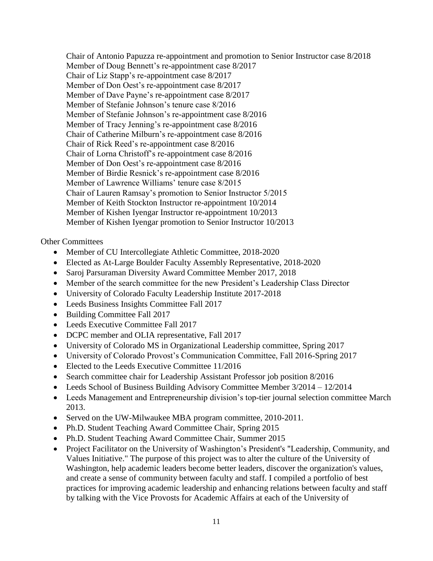Chair of Antonio Papuzza re-appointment and promotion to Senior Instructor case 8/2018 Member of Doug Bennett's re-appointment case 8/2017 Chair of Liz Stapp's re-appointment case 8/2017 Member of Don Oest's re-appointment case 8/2017 Member of Dave Payne's re-appointment case 8/2017 Member of Stefanie Johnson's tenure case 8/2016 Member of Stefanie Johnson's re-appointment case 8/2016 Member of Tracy Jenning's re-appointment case 8/2016 Chair of Catherine Milburn's re-appointment case 8/2016 Chair of Rick Reed's re-appointment case 8/2016 Chair of Lorna Christoff's re-appointment case 8/2016 Member of Don Oest's re-appointment case 8/2016 Member of Birdie Resnick's re-appointment case 8/2016 Member of Lawrence Williams' tenure case 8/2015 Chair of Lauren Ramsay's promotion to Senior Instructor 5/2015 Member of Keith Stockton Instructor re-appointment 10/2014 Member of Kishen Iyengar Instructor re-appointment 10/2013 Member of Kishen Iyengar promotion to Senior Instructor 10/2013

#### Other Committees

- Member of CU Intercollegiate Athletic Committee, 2018-2020
- Elected as At-Large Boulder Faculty Assembly Representative, 2018-2020
- Saroj Parsuraman Diversity Award Committee Member 2017, 2018
- Member of the search committee for the new President's Leadership Class Director
- University of Colorado Faculty Leadership Institute 2017-2018
- Leeds Business Insights Committee Fall 2017
- Building Committee Fall 2017
- Leeds Executive Committee Fall 2017
- DCPC member and OLIA representative, Fall 2017
- University of Colorado MS in Organizational Leadership committee, Spring 2017
- University of Colorado Provost's Communication Committee, Fall 2016-Spring 2017
- Elected to the Leeds Executive Committee 11/2016
- Search committee chair for Leadership Assistant Professor job position 8/2016
- Leeds School of Business Building Advisory Committee Member 3/2014 12/2014
- Leeds Management and Entrepreneurship division's top-tier journal selection committee March 2013.
- Served on the UW-Milwaukee MBA program committee, 2010-2011.
- Ph.D. Student Teaching Award Committee Chair, Spring 2015
- Ph.D. Student Teaching Award Committee Chair, Summer 2015
- Project Facilitator on the University of Washington's President's "Leadership, Community, and Values Initiative." The purpose of this project was to alter the culture of the University of Washington, help academic leaders become better leaders, discover the organization's values, and create a sense of community between faculty and staff. I compiled a portfolio of best practices for improving academic leadership and enhancing relations between faculty and staff by talking with the Vice Provosts for Academic Affairs at each of the University of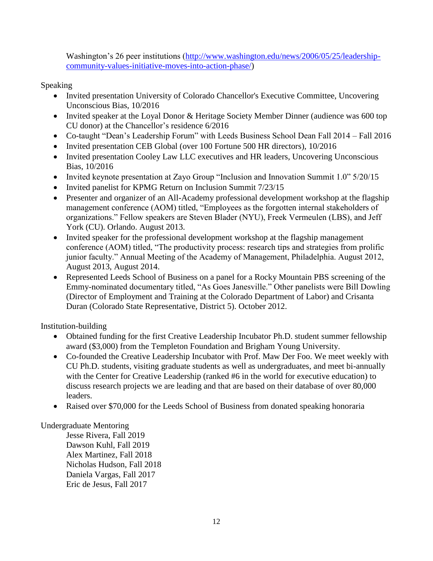Washington's 26 peer institutions [\(http://www.washington.edu/news/2006/05/25/leadership](http://www.washington.edu/news/2006/05/25/leadership-community-values-initiative-moves-into-action-phase/)[community-values-initiative-moves-into-action-phase/\)](http://www.washington.edu/news/2006/05/25/leadership-community-values-initiative-moves-into-action-phase/)

Speaking

- Invited presentation University of Colorado Chancellor's Executive Committee, Uncovering Unconscious Bias, 10/2016
- Invited speaker at the Loyal Donor & Heritage Society Member Dinner (audience was 600 top CU donor) at the Chancellor's residence 6/2016
- Co-taught "Dean's Leadership Forum" with Leeds Business School Dean Fall 2014 Fall 2016
- Invited presentation CEB Global (over 100 Fortune 500 HR directors), 10/2016
- Invited presentation Cooley Law LLC executives and HR leaders, Uncovering Unconscious Bias, 10/2016
- Invited keynote presentation at Zayo Group "Inclusion and Innovation Summit 1.0" 5/20/15
- Invited panelist for KPMG Return on Inclusion Summit 7/23/15
- Presenter and organizer of an All-Academy professional development workshop at the flagship management conference (AOM) titled, "Employees as the forgotten internal stakeholders of organizations." Fellow speakers are Steven Blader (NYU), Freek Vermeulen (LBS), and Jeff York (CU). Orlando. August 2013.
- Invited speaker for the professional development workshop at the flagship management conference (AOM) titled, "The productivity process: research tips and strategies from prolific junior faculty." Annual Meeting of the Academy of Management, Philadelphia. August 2012, August 2013, August 2014.
- Represented Leeds School of Business on a panel for a Rocky Mountain PBS screening of the Emmy-nominated documentary titled, "As Goes Janesville." Other panelists were Bill Dowling (Director of Employment and Training at the Colorado Department of Labor) and Crisanta Duran (Colorado State Representative, District 5). October 2012.

Institution-building

- Obtained funding for the first Creative Leadership Incubator Ph.D. student summer fellowship award (\$3,000) from the Templeton Foundation and Brigham Young University.
- Co-founded the Creative Leadership Incubator with Prof. Maw Der Foo. We meet weekly with CU Ph.D. students, visiting graduate students as well as undergraduates, and meet bi-annually with the Center for Creative Leadership (ranked #6 in the world for executive education) to discuss research projects we are leading and that are based on their database of over 80,000 leaders.
- Raised over \$70,000 for the Leeds School of Business from donated speaking honoraria

# Undergraduate Mentoring

Jesse Rivera, Fall 2019 Dawson Kuhl, Fall 2019 Alex Martinez, Fall 2018 Nicholas Hudson, Fall 2018 Daniela Vargas, Fall 2017 Eric de Jesus, Fall 2017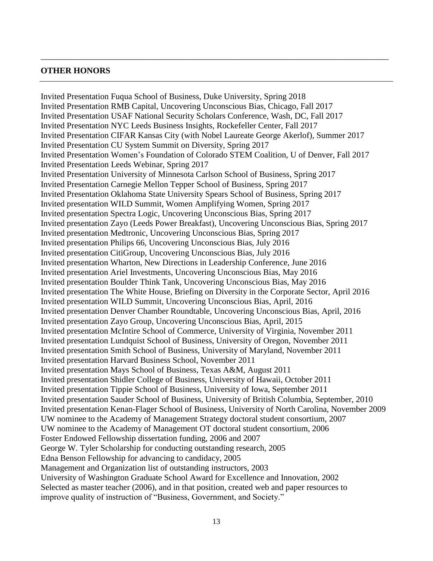#### **OTHER HONORS**

Invited Presentation Fuqua School of Business, Duke University, Spring 2018 Invited Presentation RMB Capital, Uncovering Unconscious Bias, Chicago, Fall 2017 Invited Presentation USAF National Security Scholars Conference, Wash, DC, Fall 2017 Invited Presentation NYC Leeds Business Insights, Rockefeller Center, Fall 2017 Invited Presentation CIFAR Kansas City (with Nobel Laureate George Akerlof), Summer 2017 Invited Presentation CU System Summit on Diversity, Spring 2017 Invited Presentation Women's Foundation of Colorado STEM Coalition, U of Denver, Fall 2017 Invited Presentation Leeds Webinar, Spring 2017 Invited Presentation University of Minnesota Carlson School of Business, Spring 2017 Invited Presentation Carnegie Mellon Tepper School of Business, Spring 2017 Invited Presentation Oklahoma State University Spears School of Business, Spring 2017 Invited presentation WILD Summit, Women Amplifying Women, Spring 2017 Invited presentation Spectra Logic, Uncovering Unconscious Bias, Spring 2017 Invited presentation Zayo (Leeds Power Breakfast), Uncovering Unconscious Bias, Spring 2017 Invited presentation Medtronic, Uncovering Unconscious Bias, Spring 2017 Invited presentation Philips 66, Uncovering Unconscious Bias, July 2016 Invited presentation CitiGroup, Uncovering Unconscious Bias, July 2016 Invited presentation Wharton, New Directions in Leadership Conference, June 2016 Invited presentation Ariel Investments, Uncovering Unconscious Bias, May 2016 Invited presentation Boulder Think Tank, Uncovering Unconscious Bias, May 2016 Invited presentation The White House, Briefing on Diversity in the Corporate Sector, April 2016 Invited presentation WILD Summit, Uncovering Unconscious Bias, April, 2016 Invited presentation Denver Chamber Roundtable, Uncovering Unconscious Bias, April, 2016 Invited presentation Zayo Group, Uncovering Unconscious Bias, April, 2015 Invited presentation McIntire School of Commerce, University of Virginia, November 2011 Invited presentation Lundquist School of Business, University of Oregon, November 2011 Invited presentation Smith School of Business, University of Maryland, November 2011 Invited presentation Harvard Business School, November 2011 Invited presentation Mays School of Business, Texas A&M, August 2011 Invited presentation Shidler College of Business, University of Hawaii, October 2011 Invited presentation Tippie School of Business, University of Iowa, September 2011 Invited presentation Sauder School of Business, University of British Columbia, September, 2010 Invited presentation Kenan-Flager School of Business, University of North Carolina, November 2009 UW nominee to the Academy of Management Strategy doctoral student consortium, 2007 UW nominee to the Academy of Management OT doctoral student consortium, 2006 Foster Endowed Fellowship dissertation funding, 2006 and 2007 George W. Tyler Scholarship for conducting outstanding research, 2005 Edna Benson Fellowship for advancing to candidacy, 2005 Management and Organization list of outstanding instructors, 2003 University of Washington Graduate School Award for Excellence and Innovation, 2002 Selected as master teacher (2006), and in that position, created web and paper resources to improve quality of instruction of "Business, Government, and Society."

\_\_\_\_\_\_\_\_\_\_\_\_\_\_\_\_\_\_\_\_\_\_\_\_\_\_\_\_\_\_\_\_\_\_\_\_\_\_\_\_\_\_\_\_\_\_\_\_\_\_\_\_\_\_\_\_\_\_\_\_\_\_\_\_\_\_\_\_\_\_\_\_\_\_\_\_\_\_\_\_\_\_